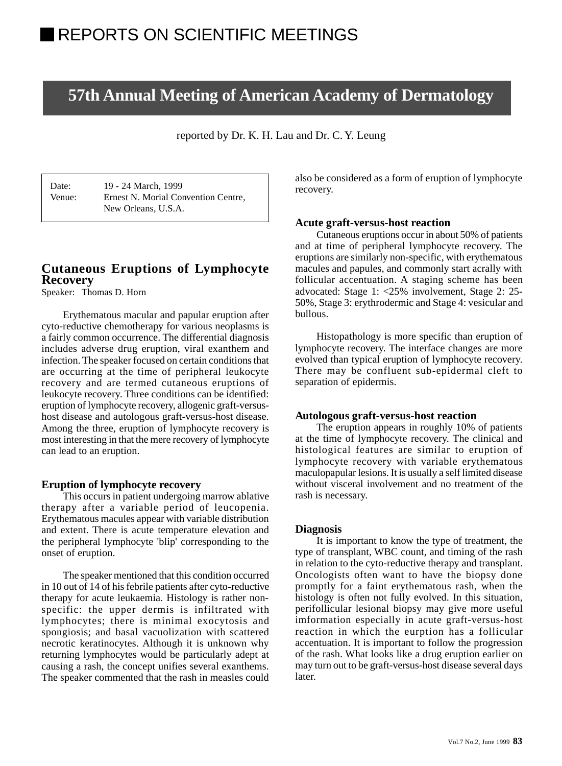# **57th Annual Meeting of American Academy of Dermatology**

reported by Dr. K. H. Lau and Dr. C. Y. Leung

Date: 19 - 24 March, 1999 Venue: Ernest N. Morial Convention Centre, New Orleans, U.S.A.

# **Cutaneous Eruptions of Lymphocyte Recovery**

Speaker: Thomas D. Horn

Erythematous macular and papular eruption after cyto-reductive chemotherapy for various neoplasms is a fairly common occurrence. The differential diagnosis includes adverse drug eruption, viral exanthem and infection. The speaker focused on certain conditions that are occurring at the time of peripheral leukocyte recovery and are termed cutaneous eruptions of leukocyte recovery. Three conditions can be identified: eruption of lymphocyte recovery, allogenic graft-versushost disease and autologous graft-versus-host disease. Among the three, eruption of lymphocyte recovery is most interesting in that the mere recovery of lymphocyte can lead to an eruption.

# **Eruption of lymphocyte recovery**

This occurs in patient undergoing marrow ablative therapy after a variable period of leucopenia. Erythematous macules appear with variable distribution and extent. There is acute temperature elevation and the peripheral lymphocyte 'blip' corresponding to the onset of eruption.

The speaker mentioned that this condition occurred in 10 out of 14 of his febrile patients after cyto-reductive therapy for acute leukaemia. Histology is rather nonspecific: the upper dermis is infiltrated with lymphocytes; there is minimal exocytosis and spongiosis; and basal vacuolization with scattered necrotic keratinocytes. Although it is unknown why returning lymphocytes would be particularly adept at causing a rash, the concept unifies several exanthems. The speaker commented that the rash in measles could

also be considered as a form of eruption of lymphocyte recovery.

#### **Acute graft-versus-host reaction**

Cutaneous eruptions occur in about 50% of patients and at time of peripheral lymphocyte recovery. The eruptions are similarly non-specific, with erythematous macules and papules, and commonly start acrally with follicular accentuation. A staging scheme has been advocated: Stage 1: <25% involvement, Stage 2: 25- 50%, Stage 3: erythrodermic and Stage 4: vesicular and bullous.

Histopathology is more specific than eruption of lymphocyte recovery. The interface changes are more evolved than typical eruption of lymphocyte recovery. There may be confluent sub-epidermal cleft to separation of epidermis.

#### **Autologous graft-versus-host reaction**

The eruption appears in roughly 10% of patients at the time of lymphocyte recovery. The clinical and histological features are similar to eruption of lymphocyte recovery with variable erythematous maculopapular lesions. It is usually a self limited disease without visceral involvement and no treatment of the rash is necessary.

#### **Diagnosis**

It is important to know the type of treatment, the type of transplant, WBC count, and timing of the rash in relation to the cyto-reductive therapy and transplant. Oncologists often want to have the biopsy done promptly for a faint erythematous rash, when the histology is often not fully evolved. In this situation, perifollicular lesional biopsy may give more useful imformation especially in acute graft-versus-host reaction in which the eurption has a follicular accentuation. It is important to follow the progression of the rash. What looks like a drug eruption earlier on may turn out to be graft-versus-host disease several days later.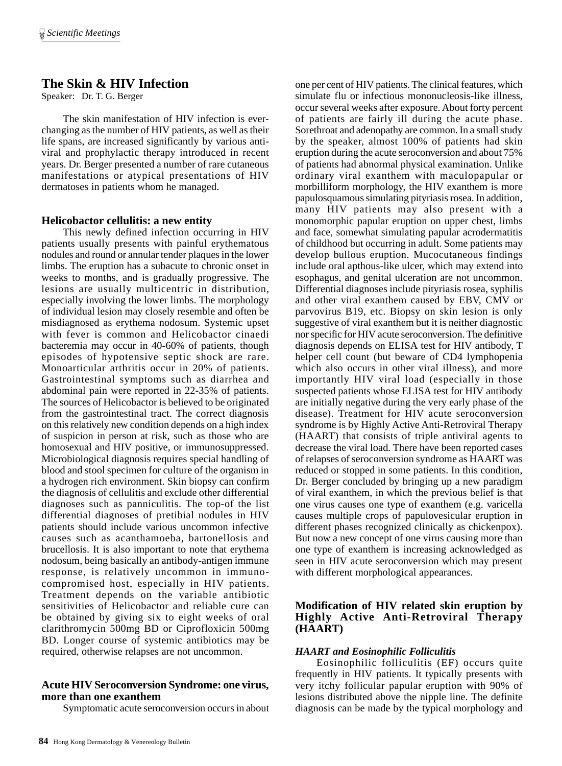# **The Skin & HIV Infection**

Speaker: Dr. T. G. Berger

The skin manifestation of HIV infection is everchanging as the number of HIV patients, as well as their life spans, are increased significantly by various antiviral and prophylactic therapy introduced in recent years. Dr. Berger presented a number of rare cutaneous manifestations or atypical presentations of HIV dermatoses in patients whom he managed.

# **Helicobactor cellulitis: a new entity**

This newly defined infection occurring in HIV patients usually presents with painful erythematous nodules and round or annular tender plaques in the lower limbs. The eruption has a subacute to chronic onset in weeks to months, and is gradually progressive. The lesions are usually multicentric in distribution, especially involving the lower limbs. The morphology of individual lesion may closely resemble and often be misdiagnosed as erythema nodosum. Systemic upset with fever is common and Helicobactor cinaedi bacteremia may occur in 40-60% of patients, though episodes of hypotensive septic shock are rare. Monoarticular arthritis occur in 20% of patients. Gastrointestinal symptoms such as diarrhea and abdominal pain were reported in 22-35% of patients. The sources of Helicobactor is believed to be originated from the gastrointestinal tract. The correct diagnosis on this relatively new condition depends on a high index of suspicion in person at risk, such as those who are homosexual and HIV positive, or immunosuppressed. Microbiological diagnosis requires special handling of blood and stool specimen for culture of the organism in a hydrogen rich environment. Skin biopsy can confirm the diagnosis of cellulitis and exclude other differential diagnoses such as panniculitis. The top-of the list differential diagnoses of pretibial nodules in HIV patients should include various uncommon infective causes such as acanthamoeba, bartonellosis and brucellosis. It is also important to note that erythema nodosum, being basically an antibody-antigen immune response, is relatively uncommon in immunocompromised host, especially in HIV patients. Treatment depends on the variable antibiotic sensitivities of Helicobactor and reliable cure can be obtained by giving six to eight weeks of oral clarithromycin 500mg BD or Ciprofloxicin 500mg BD. Longer course of systemic antibiotics may be required, otherwise relapses are not uncommon.

# **Acute HIV Seroconversion Syndrome: one virus, more than one exanthem**

Symptomatic acute seroconversion occurs in about

one per cent of HIV patients. The clinical features, which simulate flu or infectious mononucleosis-like illness, occur several weeks after exposure. About forty percent of patients are fairly ill during the acute phase. Sorethroat and adenopathy are common. In a small study by the speaker, almost 100% of patients had skin eruption during the acute seroconversion and about 75% of patients had abnormal physical examination. Unlike ordinary viral exanthem with maculopapular or morbilliform morphology, the HIV exanthem is more papulosquamous simulating pityriasis rosea. In addition, many HIV patients may also present with a monomorphic papular eruption on upper chest, limbs and face, somewhat simulating papular acrodermatitis of childhood but occurring in adult. Some patients may develop bullous eruption. Mucocutaneous findings include oral apthous-like ulcer, which may extend into esophagus, and genital ulceration are not uncommon. Differential diagnoses include pityriasis rosea, syphilis and other viral exanthem caused by EBV, CMV or parvovirus B19, etc. Biopsy on skin lesion is only suggestive of viral exanthem but it is neither diagnostic nor specific for HIV acute seroconversion. The definitive diagnosis depends on ELISA test for HIV antibody, T helper cell count (but beware of CD4 lymphopenia which also occurs in other viral illness), and more importantly HIV viral load (especially in those suspected patients whose ELISA test for HIV antibody are initially negative during the very early phase of the disease). Treatment for HIV acute seroconversion syndrome is by Highly Active Anti-Retroviral Therapy (HAART) that consists of triple antiviral agents to decrease the viral load. There have been reported cases of relapses of seroconversion syndrome as HAART was reduced or stopped in some patients. In this condition, Dr. Berger concluded by bringing up a new paradigm of viral exanthem, in which the previous belief is that one virus causes one type of exanthem (e.g. varicella causes multiple crops of papulovesicular eruption in different phases recognized clinically as chickenpox). But now a new concept of one virus causing more than one type of exanthem is increasing acknowledged as seen in HIV acute seroconversion which may present with different morphological appearances.

# **Modification of HIV related skin eruption by Highly Active Anti-Retroviral Therapy (HAART)**

# *HAART and Eosinophilic Folliculitis*

Eosinophilic folliculitis (EF) occurs quite frequently in HIV patients. It typically presents with very itchy follicular papular eruption with 90% of lesions distributed above the nipple line. The definite diagnosis can be made by the typical morphology and